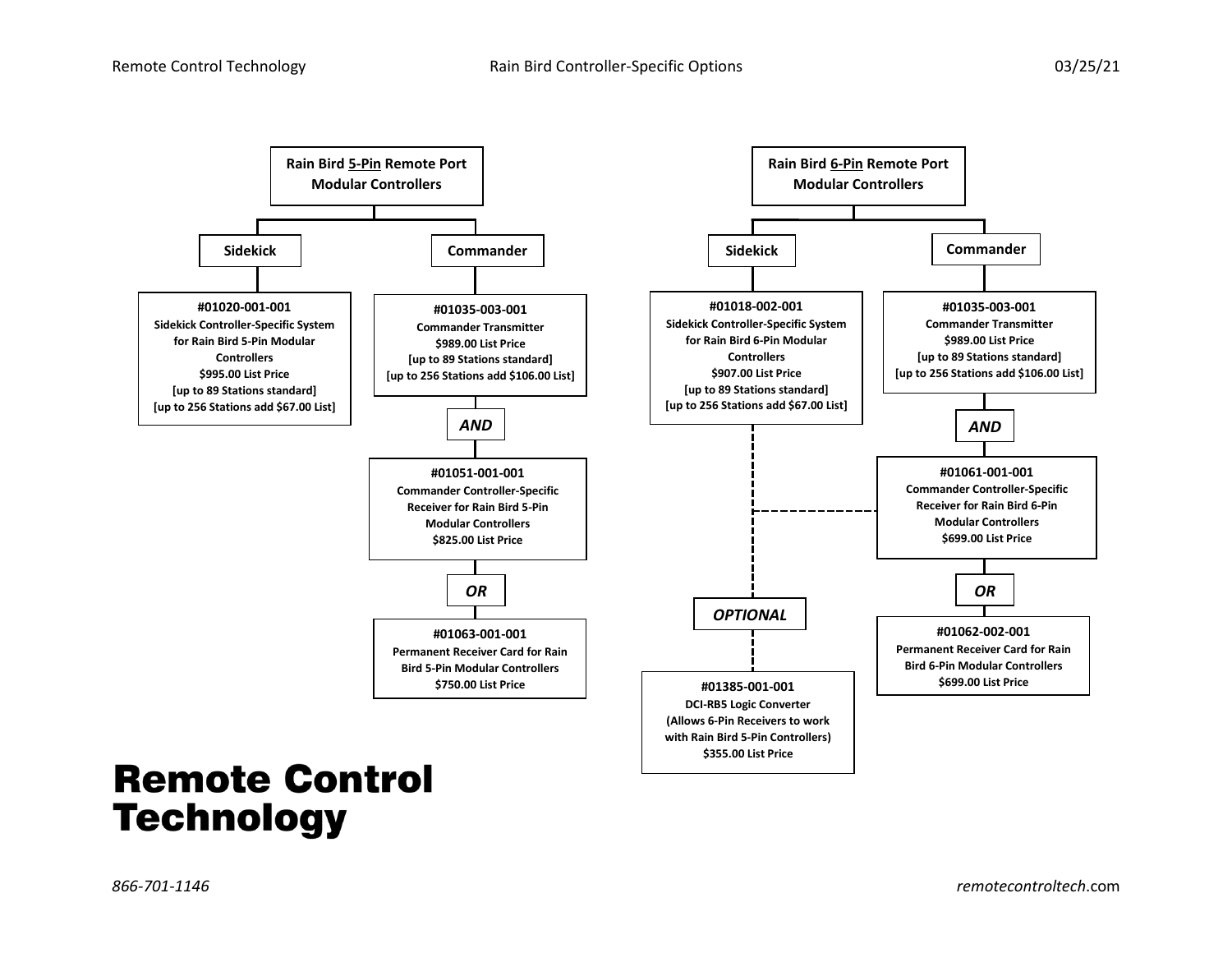

## **Remote Control Technology**